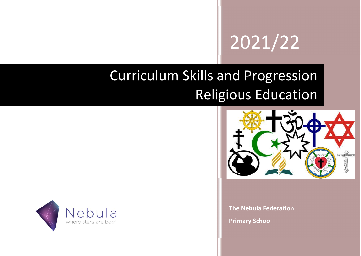# 2021/22

# Curriculum Skills and Progression Religious Education



The Nebula Federation Primary School

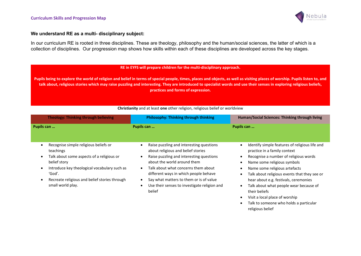

religious belief

### We understand RE as a multi- disciplinary subject:

In our curriculum RE is rooted in three disciplines. These are theology, philosophy and the human/social sciences, the latter of which is a collection of disciplines. Our progression map shows how skills within each of these disciplines are developed across the key stages.

#### RE in EYFS will prepare children for the multi-disciplinary approach.

Pupils being to explore the world of religion and belief in terms of special people, times, places and objects, as well as visiting places of worship. Pupils listen to, and talk about, religious stories which may raise puzzling and interesting. They are introduced to specialist words and use their senses in exploring religious beliefs, practices and forms of expression.

| <b>Theology: Thinking through believing</b>                                                                                                                                                                                                                                            | <b>Philosophy: Thinking through thinking</b>                                                                                                                                                                                                                                                                                                                                                                    | Human/Social Sciences: Thinking through living                                                                                                                                                                                                                                                                                                                                                                          |
|----------------------------------------------------------------------------------------------------------------------------------------------------------------------------------------------------------------------------------------------------------------------------------------|-----------------------------------------------------------------------------------------------------------------------------------------------------------------------------------------------------------------------------------------------------------------------------------------------------------------------------------------------------------------------------------------------------------------|-------------------------------------------------------------------------------------------------------------------------------------------------------------------------------------------------------------------------------------------------------------------------------------------------------------------------------------------------------------------------------------------------------------------------|
| Pupils can                                                                                                                                                                                                                                                                             | Pupils can                                                                                                                                                                                                                                                                                                                                                                                                      | Pupils can                                                                                                                                                                                                                                                                                                                                                                                                              |
| Recognise simple religious beliefs or<br>teachings<br>Talk about some aspects of a religious or<br>$\bullet$<br>belief story<br>Introduce key theological vocabulary such as<br>$\bullet$<br>'God'.<br>Recreate religious and belief stories through<br>$\bullet$<br>small world play. | Raise puzzling and interesting questions<br>$\bullet$<br>about religious and belief stories<br>Raise puzzling and interesting questions<br>$\bullet$<br>about the world around them<br>Talk about what concerns them about<br>$\bullet$<br>different ways in which people behave<br>Say what matters to them or is of value<br>$\bullet$<br>Use their senses to investigate religion and<br>$\bullet$<br>belief | Identify simple features of religious life and<br>practice in a family context<br>Recognise a number of religious words<br>Name some religious symbols<br>Name some religious artefacts<br>Talk about religious events that they see or<br>hear about e.g. festivals, ceremonies<br>Talk about what people wear because of<br>their beliefs<br>Visit a local place of worship<br>Talk to someone who holds a particular |

Christianity and at least one other religion, religious belief or worldview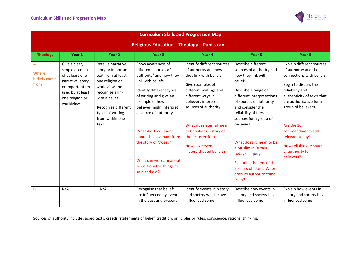

| <b>Curriculum Skills and Progression Map</b> |                                                                                                                                                 |                                                                                                                                                                                                                |                                                                                                                                                                                                                                                                                                                                                                                        |                                                                                                                                                                                                                                                                                                                             |                                                                                                                                                                                                                                                                                                                                                                                                                       |                                                                                                                                                                                                                                                                                                                                |  |  |
|----------------------------------------------|-------------------------------------------------------------------------------------------------------------------------------------------------|----------------------------------------------------------------------------------------------------------------------------------------------------------------------------------------------------------------|----------------------------------------------------------------------------------------------------------------------------------------------------------------------------------------------------------------------------------------------------------------------------------------------------------------------------------------------------------------------------------------|-----------------------------------------------------------------------------------------------------------------------------------------------------------------------------------------------------------------------------------------------------------------------------------------------------------------------------|-----------------------------------------------------------------------------------------------------------------------------------------------------------------------------------------------------------------------------------------------------------------------------------------------------------------------------------------------------------------------------------------------------------------------|--------------------------------------------------------------------------------------------------------------------------------------------------------------------------------------------------------------------------------------------------------------------------------------------------------------------------------|--|--|
| Religious Education - Theology - Pupils can  |                                                                                                                                                 |                                                                                                                                                                                                                |                                                                                                                                                                                                                                                                                                                                                                                        |                                                                                                                                                                                                                                                                                                                             |                                                                                                                                                                                                                                                                                                                                                                                                                       |                                                                                                                                                                                                                                                                                                                                |  |  |
| <b>Theology</b>                              | Year 1                                                                                                                                          | Year <sub>2</sub>                                                                                                                                                                                              | Year <sub>3</sub>                                                                                                                                                                                                                                                                                                                                                                      | Year 4                                                                                                                                                                                                                                                                                                                      | Year <sub>5</sub>                                                                                                                                                                                                                                                                                                                                                                                                     | Year <sub>6</sub>                                                                                                                                                                                                                                                                                                              |  |  |
| A.<br><b>Where</b><br>beliefs come<br>from   | Give a clear,<br>simple account<br>of at least one<br>narrative, story<br>or important text<br>used by at least<br>one religion or<br>worldview | Retell a narrative,<br>story or important<br>text from at least<br>one religion or<br>worldview and<br>recognise a link<br>with a belief<br>Recognise different<br>types of writing<br>from within one<br>text | Show awareness of<br>different sources of<br>authority <sup>1</sup> and how they<br>link with beliefs.<br>Identify different types<br>of writing and give an<br>example of how a<br>believer might interpret<br>a source of authority<br>What did Jews learn<br>about the covenant from<br>the story of Moses?<br>What can we learn about<br>Jesus from the things he<br>said and did? | Identify different sources<br>of authority and how<br>they link with beliefs.<br>Give examples of<br>different writings and<br>different ways in<br>believers interpret<br>sources of authority<br>What does eternal mean<br>to Christians? (story of<br>the resurrection)<br>How have events in<br>history shaped beliefs? | Describe different<br>sources of authority and<br>how they link with<br>beliefs.<br>Describe a range of<br>different interpretations<br>of sources of authority<br>and consider the<br>reliability of these<br>sources for a group of<br>believers.<br>What does it mean to be<br>a Muslim in Britain<br>today? Inquiry<br>Exploring the text of the<br>5 Pillars of Islam. Where<br>does its authority come<br>from? | Explain different sources<br>of authority and the<br>connections with beliefs.<br>Begin to discuss the<br>reliability and<br>authenticity of texts that<br>are authoritative for a<br>group of believers.<br>Are the 10<br>commandments still<br>relevant today?<br>How reliable are sources<br>of authority for<br>believers? |  |  |
| <b>B.</b>                                    | N/A                                                                                                                                             | N/A                                                                                                                                                                                                            | Recognise that beliefs<br>are influenced by events<br>in the past and present                                                                                                                                                                                                                                                                                                          | Identify events in history<br>and society which have<br>influenced some                                                                                                                                                                                                                                                     | Describe how events in<br>history and society have<br>influenced some                                                                                                                                                                                                                                                                                                                                                 | Explain how events in<br>history and society have<br>influenced some                                                                                                                                                                                                                                                           |  |  |

 $^1$  Sources of authority include sacred texts, creeds, statements of belief, tradition, principles or rules, conscience, rational thinking.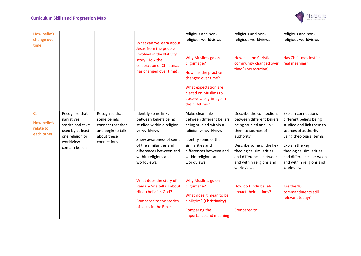

| <b>How beliefs</b><br>change over<br>time           |                                                                                                                            |                                                                                                        | What can we learn about<br>Jesus from the people<br>involved in the Nativity<br>story (How the<br>celebration of Christmas<br>has changed over time)?                                                                                                                                                                                                 | religious and non-<br>religious worldviews<br>Why Muslims go on<br>pilgrimage?<br>How has the practice<br>changed over time?<br>What expectation are<br>placed on Muslims to<br>observe a pilgrimage in<br>their lifetime?                                                                                                                                   | religious and non-<br>religious worldviews<br>How has the Christian<br>community changed over<br>time? (persecution)                                                                                                                                                                                                   | religious and non-<br>religious worldviews<br>Has Christmas lost its<br>real meaning?                                                                                                                                                                                                                           |
|-----------------------------------------------------|----------------------------------------------------------------------------------------------------------------------------|--------------------------------------------------------------------------------------------------------|-------------------------------------------------------------------------------------------------------------------------------------------------------------------------------------------------------------------------------------------------------------------------------------------------------------------------------------------------------|--------------------------------------------------------------------------------------------------------------------------------------------------------------------------------------------------------------------------------------------------------------------------------------------------------------------------------------------------------------|------------------------------------------------------------------------------------------------------------------------------------------------------------------------------------------------------------------------------------------------------------------------------------------------------------------------|-----------------------------------------------------------------------------------------------------------------------------------------------------------------------------------------------------------------------------------------------------------------------------------------------------------------|
| C.<br><b>How beliefs</b><br>relate to<br>each other | Recognise that<br>narratives,<br>stories and texts<br>used by at least<br>one religion or<br>worldview<br>contain beliefs. | Recognise that<br>some beliefs<br>connect together<br>and begin to talk<br>about these<br>connections. | Identify some links<br>between beliefs being<br>studied within a religion<br>or worldview.<br>Show awareness of some<br>of the similarities and<br>differences between and<br>within religions and<br>worldviews.<br>What does the story of<br>Rama & Sita tell us about<br>Hindu belief in God?<br>Compared to the stories<br>of Jesus in the Bible. | Make clear links<br>between different beliefs<br>being studied within a<br>religion or worldview.<br>Identify some of the<br>similarities and<br>differences between and<br>within religions and<br>worldviews<br>Why Muslims go on<br>pilgrimage?<br>What does it mean to be<br>a pilgrim? (Christianity)<br><b>Comparing the</b><br>importance and meaning | Describe the connections<br>between different beliefs<br>being studied and link<br>them to sources of<br>authority<br>Describe some of the key<br>theological similarities<br>and differences between<br>and within religions and<br>worldviews<br>How do Hindu beliefs<br>impact their actions?<br><b>Compared to</b> | <b>Explain connections</b><br>different beliefs being<br>studied and link them to<br>sources of authority<br>using theological terms<br>Explain the key<br>theological similarities<br>and differences between<br>and within religions and<br>worldviews<br>Are the 10<br>commandments still<br>relevant today? |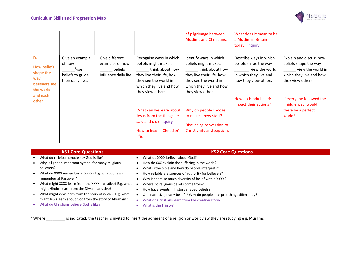

|                                                                            |                                                                               |                                                                      |                                                                                                                                                                         | of pilgrimage between<br><b>Muslims and Christians.</b>                                                                                                                | What does it mean to be<br>a Muslim in Britain<br>today? Inquiry                                                    |                                                                                                                      |
|----------------------------------------------------------------------------|-------------------------------------------------------------------------------|----------------------------------------------------------------------|-------------------------------------------------------------------------------------------------------------------------------------------------------------------------|------------------------------------------------------------------------------------------------------------------------------------------------------------------------|---------------------------------------------------------------------------------------------------------------------|----------------------------------------------------------------------------------------------------------------------|
| D.<br><b>How beliefs</b><br>shape the<br>way<br>believers see<br>the world | Give an example<br>of how<br>$2$ use<br>beliefs to guide<br>their daily lives | Give different<br>examples of how<br>beliefs<br>influence daily life | Recognise ways in which<br>beliefs might make a<br>think about how<br>they live their life, how<br>they see the world in<br>which they live and how<br>they view others | Identify ways in which<br>beliefs might make a<br>think about how<br>they live their life, how<br>they see the world in<br>which they live and how<br>they view others | Describe ways in which<br>beliefs shape the way<br>view the world<br>in which they live and<br>how they view others | Explain and discuss how<br>beliefs shape the way<br>view the world in<br>which they live and how<br>they view others |
| and each<br>other                                                          |                                                                               |                                                                      | What can we learn about<br>Jesus from the things he<br>said and did? Inquiry<br>How to lead a 'Christian'<br>life.                                                      | Why do people choose<br>to make a new start?<br>Discussing conversion to<br>Christianity and baptism.                                                                  | How do Hindu beliefs<br>impact their actions?                                                                       | If everyone followed the<br>'middle way' would<br>there be a perfect<br>world?                                       |

- What do religious people say God is like?
- Why is light an important symbol for many religious believers?
- What do XXXX remember at XXXX? E.g. what do Jews remember at Passover?
- What might XXXX learn from the XXXX narrative? E.g. what might Hindus learn from the Diwali narrative?
- What might xxxx learn from the story of xxxxx? E.g. what might Jews learn about God from the story of Abraham?
- What do Christians believe God is like?

### **KS1 Core Questions** KS1 Core Questions **KS1 Core Questions**

- What do XXXX believe about God?
- How do XXX explain the suffering in the world?
- What is the bible and how do people interpret it?
- How reliable are sources of authority for believers?
- Why is there so much diversity of belief within XXXX?
- Where do religious beliefs come from?
- How have events in history shaped beliefs?
- One narrative, many beliefs? Why do people interpret things differently?
- What do Christians learn from the creation story?
- What is the Trinity?

<sup>2</sup> Where \_\_\_\_\_\_\_\_\_ is indicated, the teacher is invited to insert the adherent of a religion or worldview they are studying e g. Muslims.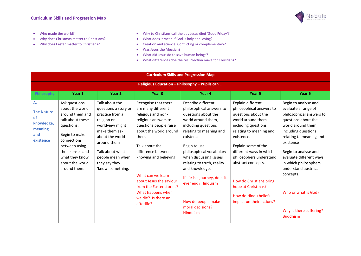

- Who made the world?
- Why does Christmas matter to Christians?
- Why does Easter matter to Christians?
- Why to Christians call the day Jesus died 'Good Friday'?
- What does it mean if God is holy and loving?
- Creation and science: Conflicting or complementary?
- Was Jesus the Messiah?
- What did Jesus do to save human beings?
- What differences doe the resurrection make for Christians?

| <b>Curriculum Skills and Progression Map</b>                                      |                                                                                                                                                                                                                 |                                                                                                                                                                                                                             |                                                                                                                                                                                                                                                                                                                                                              |                                                                                                                                                                                                                                                                                                                                                                                               |                                                                                                                                                                                                                                                                                                                                                                    |                                                                                                                                                                                                                                                                                                                                                                          |  |  |
|-----------------------------------------------------------------------------------|-----------------------------------------------------------------------------------------------------------------------------------------------------------------------------------------------------------------|-----------------------------------------------------------------------------------------------------------------------------------------------------------------------------------------------------------------------------|--------------------------------------------------------------------------------------------------------------------------------------------------------------------------------------------------------------------------------------------------------------------------------------------------------------------------------------------------------------|-----------------------------------------------------------------------------------------------------------------------------------------------------------------------------------------------------------------------------------------------------------------------------------------------------------------------------------------------------------------------------------------------|--------------------------------------------------------------------------------------------------------------------------------------------------------------------------------------------------------------------------------------------------------------------------------------------------------------------------------------------------------------------|--------------------------------------------------------------------------------------------------------------------------------------------------------------------------------------------------------------------------------------------------------------------------------------------------------------------------------------------------------------------------|--|--|
| Religious Education - Philosophy - Pupils can                                     |                                                                                                                                                                                                                 |                                                                                                                                                                                                                             |                                                                                                                                                                                                                                                                                                                                                              |                                                                                                                                                                                                                                                                                                                                                                                               |                                                                                                                                                                                                                                                                                                                                                                    |                                                                                                                                                                                                                                                                                                                                                                          |  |  |
| <b>Philosophy</b>                                                                 | Year 1                                                                                                                                                                                                          | Year <sub>2</sub>                                                                                                                                                                                                           | Year <sub>3</sub>                                                                                                                                                                                                                                                                                                                                            | Year 4                                                                                                                                                                                                                                                                                                                                                                                        | Year <sub>5</sub>                                                                                                                                                                                                                                                                                                                                                  | Year <sub>6</sub>                                                                                                                                                                                                                                                                                                                                                        |  |  |
| <b>A.</b><br><b>The Nature</b><br>οf<br>knowledge,<br>meaning<br>and<br>existence | Ask questions<br>about the world<br>around them and<br>talk about these<br>questions.<br>Begin to make<br>connections<br>between using<br>their senses and<br>what they know<br>about the world<br>around them. | Talk about the<br>questions a story or<br>practice from a<br>religion or<br>worldview might<br>make them ask<br>about the world<br>around them<br>Talk about what<br>people mean when<br>they say they<br>'know' something. | Recognise that there<br>are many different<br>religious and non-<br>religious answers to<br>questions people raise<br>about the world around<br>them<br>Talk about the<br>difference between<br>knowing and believing.<br>What can we learn<br>about Jesus the saviour<br>from the Easter stories?<br>What happens when<br>we die? Is there an<br>afterlife? | Describe different<br>philosophical answers to<br>questions about the<br>world around them.<br>including questions<br>relating to meaning and<br>existence<br>Begin to use<br>philosophical vocabulary<br>when discussing issues<br>relating to truth, reality<br>and knowledge.<br>If life is a journey, does it<br>ever end? Hinduism<br>How do people make<br>moral decisions?<br>Hinduism | Explain different<br>philosophical answers to<br>questions about the<br>world around them,<br>including questions<br>relating to meaning and<br>existence.<br>Explain some of the<br>different ways in which<br>philosophers understand<br>abstract concepts.<br>How do Christians bring<br>hope at Christmas?<br>How do Hindu beliefs<br>impact on their actions? | Begin to analyse and<br>evaluate a range of<br>philosophical answers to<br>questions about the<br>world around them,<br>including questions<br>relating to meaning and<br>existence<br>Begin to analyse and<br>evaluate different ways<br>in which philosophers<br>understand abstract<br>concepts.<br>Who or what is God?<br>Why is there suffering?<br><b>Buddhism</b> |  |  |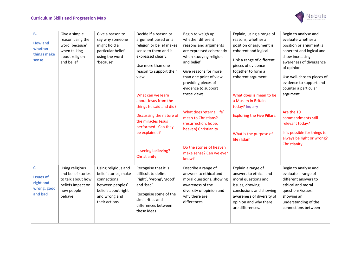

| <b>B.</b><br><b>How and</b>                                   | Give a simple<br>reason using the<br>word 'because'                                                     | Give a reason to<br>say why someone<br>might hold a                                                                                      | Decide if a reason or<br>argument based on a<br>religion or belief makes                                                                                                          | Begin to weigh up<br>whether different<br>reasons and arguments                                                                                                                   | Explain, using a range of<br>reasons, whether a<br>position or argument is                                                                                                                  | Begin to analyse and<br>evaluate whether a<br>position or argument is                                                                                                             |
|---------------------------------------------------------------|---------------------------------------------------------------------------------------------------------|------------------------------------------------------------------------------------------------------------------------------------------|-----------------------------------------------------------------------------------------------------------------------------------------------------------------------------------|-----------------------------------------------------------------------------------------------------------------------------------------------------------------------------------|---------------------------------------------------------------------------------------------------------------------------------------------------------------------------------------------|-----------------------------------------------------------------------------------------------------------------------------------------------------------------------------------|
| whether<br>things make<br>sense                               | when talking<br>about religion<br>and belief                                                            | particular belief<br>using the word<br>'because'                                                                                         | sense to them and is<br>expressed clearly.<br>Use more than one<br>reason to support their<br>view.<br>What can we learn                                                          | are expressed coherently<br>when studying religion<br>and belief<br>Give reasons for more<br>than one point of view,<br>providing pieces of<br>evidence to support<br>these views | coherent and logical.<br>Link a range of different<br>pieces of evidence<br>together to form a<br>coherent argument<br>What does is mean to be                                              | coherent and logical and<br>show increasing<br>awareness of divergence<br>of opinion.<br>Use well-chosen pieces of<br>evidence to support and<br>counter a particular<br>argument |
|                                                               |                                                                                                         |                                                                                                                                          | about Jesus from the<br>things he said and did?<br>Discussing the nature of<br>the miracles Jesus<br>performed. Can they<br>be explained?<br>Is seeing believing?<br>Christianity | What does 'eternal life'<br>mean to Christians?<br>(resurrection, hope,<br>heaven) Christianity<br>Do the stories of heaven<br>make sense? Can we ever<br>know?                   | a Muslim in Britain<br>today? Inquiry<br><b>Exploring the Five Pillars.</b><br>What is the purpose of<br>life? Islam                                                                        | Are the 10<br>commandments still<br>relevant today?<br>Is is possible for things to<br>always be right or wrong?<br>Christianity                                                  |
| C.<br><b>Issues of</b><br>right and<br>wrong, good<br>and bad | Using religious<br>and belief stories<br>to talk about how<br>beliefs impact on<br>how people<br>behave | Using religious and<br>belief stories, make<br>connections<br>between peoples'<br>beliefs about right<br>and wrong and<br>their actions. | Recognise that it is<br>difficult to define<br>'right', 'wrong', 'good'<br>and 'bad'.<br>Recognise some of the<br>similarities and<br>differences between<br>these ideas.         | Describe a range of<br>answers to ethical and<br>moral questions, showing<br>awareness of the<br>diversity of opinion and<br>why there are<br>differences.                        | Explain a range of<br>answers to ethical and<br>moral questions and<br>issues, drawing<br>conclusions and showing<br>awareness of diversity of<br>opinion and why there<br>are differences. | Begin to analyse and<br>evaluate a range of<br>different answers to<br>ethical and moral<br>questions/issues,<br>showing an<br>understanding of the<br>connections between        |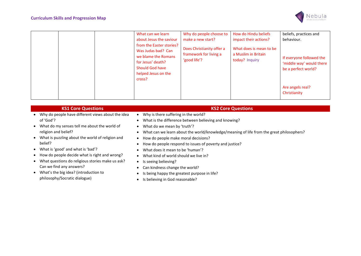

|                               | What can we learn                                                                                                    | Why do people choose to                                             | How do Hindu beliefs                                             | beliefs, practices and                                                      |
|-------------------------------|----------------------------------------------------------------------------------------------------------------------|---------------------------------------------------------------------|------------------------------------------------------------------|-----------------------------------------------------------------------------|
|                               | about Jesus the saviour                                                                                              | make a new start?                                                   | impact their actions?                                            | behaviour.                                                                  |
|                               | from the Easter stories?<br>Was Judas bad? Can<br>we blame the Romans<br>for Jesus' death?<br><b>Should God have</b> | Does Christianity offer a<br>framework for living a<br>'good life'? | What does is mean to be<br>a Muslim in Britain<br>today? Inquiry | If everyone followed the<br>'middle way' would there<br>be a perfect world? |
| helped Jesus on the<br>cross? |                                                                                                                      |                                                                     |                                                                  |                                                                             |
|                               |                                                                                                                      |                                                                     |                                                                  | Are angels real?<br>Christianity                                            |

| <b>KS1 Core Questions</b>                         | <b>KS2 Core Questions</b>                                                                |
|---------------------------------------------------|------------------------------------------------------------------------------------------|
| Why do people have different views about the idea | Why is there suffering in the world?                                                     |
| of 'God'?                                         | What is the difference between believing and knowing?                                    |
| What do my senses tell me about the world of      | What do we mean by 'truth'?                                                              |
| religion and belief?                              | What can we learn about the world/knowledge/meaning of life from the great philosophers? |
| What is puzzling about the world of religion and  | How do people make moral decisions?                                                      |
| belief?                                           | How do people respond to issues of poverty and justice?                                  |
| What is 'good' and what is 'bad'?                 | What does it mean to be 'human'?                                                         |
| How do people decide what is right and wrong?     | What kind of world should we live in?<br>$\bullet$                                       |
| What questions do religious stories make us ask?  | Is seeing believing?<br>$\bullet$                                                        |
| Can we find any answers?                          | Can kindness change the world?                                                           |
| What's the big idea? (introduction to             | Is being happy the greatest purpose in life?                                             |
| philosophy/Socratic dialogue)                     | Is believing in God reasonable?                                                          |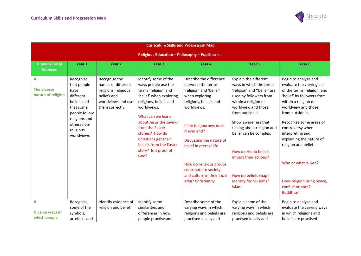

| <b>Curriculum Skills and Progression Map</b>   |                                                                                                                                                       |                                                                                                                     |                                                                                                                                                                                                                                                                                                                   |                                                                                                                                                                                                                                                                                                                                                 |                                                                                                                                                                                                                                                                                                                                                                               |                                                                                                                                                                                                                                                                                                                                                                                                      |  |  |
|------------------------------------------------|-------------------------------------------------------------------------------------------------------------------------------------------------------|---------------------------------------------------------------------------------------------------------------------|-------------------------------------------------------------------------------------------------------------------------------------------------------------------------------------------------------------------------------------------------------------------------------------------------------------------|-------------------------------------------------------------------------------------------------------------------------------------------------------------------------------------------------------------------------------------------------------------------------------------------------------------------------------------------------|-------------------------------------------------------------------------------------------------------------------------------------------------------------------------------------------------------------------------------------------------------------------------------------------------------------------------------------------------------------------------------|------------------------------------------------------------------------------------------------------------------------------------------------------------------------------------------------------------------------------------------------------------------------------------------------------------------------------------------------------------------------------------------------------|--|--|
| Religious Education - Philosophy - Pupils can  |                                                                                                                                                       |                                                                                                                     |                                                                                                                                                                                                                                                                                                                   |                                                                                                                                                                                                                                                                                                                                                 |                                                                                                                                                                                                                                                                                                                                                                               |                                                                                                                                                                                                                                                                                                                                                                                                      |  |  |
| <b>Human/Social</b>                            | Year 1                                                                                                                                                | Year <sub>2</sub>                                                                                                   | Year <sub>3</sub>                                                                                                                                                                                                                                                                                                 | Year 4                                                                                                                                                                                                                                                                                                                                          | Year <sub>5</sub>                                                                                                                                                                                                                                                                                                                                                             | Year <sub>6</sub>                                                                                                                                                                                                                                                                                                                                                                                    |  |  |
| <b>Sciences</b>                                |                                                                                                                                                       |                                                                                                                     |                                                                                                                                                                                                                                                                                                                   |                                                                                                                                                                                                                                                                                                                                                 |                                                                                                                                                                                                                                                                                                                                                                               |                                                                                                                                                                                                                                                                                                                                                                                                      |  |  |
| A.<br><b>The diverse</b><br>nature of religion | Recognise<br>that people<br>have<br>different<br>beliefs and<br>that some<br>people follow<br>religions and<br>others non-<br>religious<br>worldviews | Recognise the<br>names of different<br>religions, religious<br>beliefs and<br>worldviews and use<br>them correctly. | Identify some of the<br>ways people use the<br>terms 'religion' and<br>'belief' when exploring<br>religions, beliefs and<br>worldviews.<br>What can we learn<br>about Jesus the saviour<br>from the Easter<br>stories? How do<br>Christians get their<br>beliefs from the Easter<br>story? Is it proof of<br>God? | Describe the difference<br>between the terms<br>'religion' and 'belief'<br>when exploring<br>religions, beliefs and<br>worldviews.<br>If life is a journey, does<br>it ever end?<br>Discussing the nature of<br>belief in eternal life.<br>How do religious groups<br>contribute to society<br>and culture in their local<br>area? Christianity | Explain the different<br>ways in which the terms<br>'religion' and "belief' are<br>used by followers from<br>within a religion or<br>worldview and those<br>from outside it.<br>Show awareness that<br>talking about religion and<br>belief can be complex.<br>How do Hindu beliefs<br>impact their actions?<br>How do beliefs shape<br>identity for Muslims?<br><b>Islam</b> | Begin to analyse and<br>evaluate the varying use<br>of the terms 'religion' and<br>'belief' by followers from<br>within a religion or<br>worldview and those<br>from outside it.<br>Recognise some areas of<br>controversy when<br>interpreting and<br>explaining the nature of<br>religion and belief.<br>Who or what is God?<br>Does religion bring peace,<br>conflict or both?<br><b>Buddhism</b> |  |  |
| В.<br><b>Diverse ways in</b><br>which people   | Recognise<br>some of the<br>symbols,<br>artefacts and                                                                                                 | Identify evidence of<br>religion and belief                                                                         | Identify some<br>similarities and<br>differences in how<br>people practise and                                                                                                                                                                                                                                    | Describe some of the<br>varying ways in which<br>religions and beliefs are<br>practised locally and                                                                                                                                                                                                                                             | Explain some of the<br>varying ways in which<br>religions and beliefs are<br>practised locally and                                                                                                                                                                                                                                                                            | Begin to analyse and<br>evaluate the varying ways<br>in which religions and<br>beliefs are practised                                                                                                                                                                                                                                                                                                 |  |  |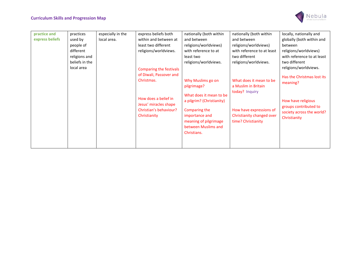

| practice and    | practices      | especially in the | express beliefs both    | nationally (both within   | nationally (both within    | locally, nationally and    |
|-----------------|----------------|-------------------|-------------------------|---------------------------|----------------------------|----------------------------|
| express beliefs | used by        | local area.       | within and between at   | and between               | and between                | globally (both within and  |
|                 | people of      |                   | least two different     | religions/worldviews)     | religions/worldviews)      | between                    |
|                 | different      |                   | religions/worldviews.   | with reference to at      | with reference to at least | religions/worldviews)      |
|                 | religions and  |                   |                         | least two                 | two different              | with reference to at least |
|                 | beliefs in the |                   |                         | religions/worldviews.     | religions/worldviews.      | two different              |
|                 | local area     |                   | Comparing the festivals |                           |                            | religions/worldviews.      |
|                 |                |                   | of Diwali, Passover and |                           |                            |                            |
|                 |                |                   | Christmas.              | Why Muslims go on         | What does it mean to be    | Has the Christmas lost its |
|                 |                |                   |                         | pilgrimage?               | a Muslim in Britain        | meaning?                   |
|                 |                |                   |                         |                           | today? Inquiry             |                            |
|                 |                |                   | How does a belief in    | What does it mean to be   |                            |                            |
|                 |                |                   |                         | a pilgrim? (Christianity) |                            | How have religious         |
|                 |                |                   | Jesus' miracles shape   |                           |                            | groups contributed to      |
|                 |                |                   | Christian's behaviour?  | Comparing the             | How have expressions of    | society across the world?  |
|                 |                |                   | Christianity            | importance and            | Christianity changed over  | Christianity               |
|                 |                |                   |                         | meaning of pilgrimage     | time? Christianity         |                            |
|                 |                |                   |                         | between Muslims and       |                            |                            |
|                 |                |                   |                         | Christians.               |                            |                            |
|                 |                |                   |                         |                           |                            |                            |
|                 |                |                   |                         |                           |                            |                            |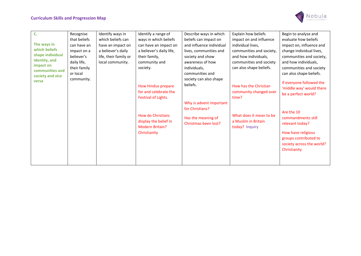

| C.               | Recognise    | Identify ways in      | Identify a range of      | Describe ways in which   | Explain how beliefs      | Begin to analyse and      |
|------------------|--------------|-----------------------|--------------------------|--------------------------|--------------------------|---------------------------|
|                  | that beliefs | which beliefs can     | ways in which beliefs    | beliefs can impact on    | impact on and influence  | evaluate how beliefs      |
| The ways in      | can have an  | have an impact on     | can have an impact on    | and influence individual | individual lives,        | impact on, influence and  |
| which beliefs    | impact on a  | a believer's daily    | a believer's daily life, | lives, communities and   | communities and society, | change individual lives,  |
| shape individual | believer's   | life, their family or | their family,            | society and show         | and how individuals,     | communities and society,  |
| identity, and    | daily life,  | local community.      | community and            | awareness of how         | communities and society  | and how individuals,      |
| impact on        | their family |                       | society.                 | individuals,             | can also shape beliefs.  | communities and society   |
| communities and  | or local     |                       |                          | communities and          |                          | can also shape beliefs.   |
| society and vice | community.   |                       |                          | society can also shape   |                          |                           |
| versa            |              |                       | How Hindus prepare       | beliefs.                 | How has the Christian    | If everyone followed the  |
|                  |              |                       |                          |                          |                          | 'middle way' would there  |
|                  |              |                       | for and celebrate the    |                          | community changed over   | be a perfect world?       |
|                  |              |                       | Festival of Lights.      |                          | time?                    |                           |
|                  |              |                       |                          | Why is advent important  |                          |                           |
|                  |              |                       |                          | for Christians?          |                          | Are the 10                |
|                  |              |                       | <b>How do Christians</b> | Has the meaning of       | What does it mean to be  | commandments still        |
|                  |              |                       | display the belief in    | Christmas been lost?     | a Muslim in Britain      | relevant today?           |
|                  |              |                       | <b>Modern Britain?</b>   |                          | today? Inquiry           |                           |
|                  |              |                       | Christianity             |                          |                          | How have religious        |
|                  |              |                       |                          |                          |                          | groups contributed to     |
|                  |              |                       |                          |                          |                          | society across the world? |
|                  |              |                       |                          |                          |                          | Christianity              |
|                  |              |                       |                          |                          |                          |                           |
|                  |              |                       |                          |                          |                          |                           |
|                  |              |                       |                          |                          |                          |                           |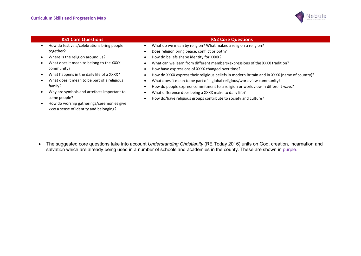

- How do festivals/celebrations bring people together?
- Where is the religion around us?
- What does it mean to belong to the XXXX community?
- What happens in the daily life of a XXXX?
- What does it mean to be part of a religious family?
- Why are symbols and artefacts important to some people?
- How do worship gatherings/ceremonies give xxxx a sense of identity and belonging?
- **KS1 Core Questions KS2 Core Questions** KS2 Core Questions KS2 Core Questions KS2 Core Questions
	- What do we mean by religion? What makes a religion a religion?
	- Does religion bring peace, conflict or both?
	- How do beliefs shape identity for XXXX?
	- What can we learn from different members/expressions of the XXXX tradition?
	- How have expressions of XXXX changed over time?
	- How do XXXX express their religious beliefs in modern Britain and in XXXX (name of country)?
	- What does it mean to be part of a global religious/worldview community?
	- How do people express commitment to a religion or worldview in different ways?
	- What difference does being a XXXX make to daily life?
	- How do/have religious groups contribute to society and culture?

• The suggested core questions take into account Understanding Christianity (RE Today 2016) units on God, creation, incarnation and salvation which are already being used in a number of schools and academies in the county. These are shown in purple.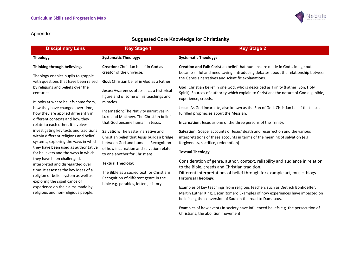

## Suggested Core Knowledge for Christianity

| <b>Disciplinary Lens</b>                                                                                                                                                                                                                                                                                                                                                                                                                                                                                                                                                                                                                                                                                                                                                                                                        | <b>Key Stage 1</b>                                                                                                                                                                                                                                                                                                                                                                                                                                                                                                                                                                                                                                                                                               | <b>Key Stage 2</b>                                                                                                                                                                                                                                                                                                                                                                                                                                                                                                                                                                                                                                                                                                                                                                                                                                                                                                                                                                                                                                                                                                                                                                                                                                                                                                                                                                                                                                                                     |
|---------------------------------------------------------------------------------------------------------------------------------------------------------------------------------------------------------------------------------------------------------------------------------------------------------------------------------------------------------------------------------------------------------------------------------------------------------------------------------------------------------------------------------------------------------------------------------------------------------------------------------------------------------------------------------------------------------------------------------------------------------------------------------------------------------------------------------|------------------------------------------------------------------------------------------------------------------------------------------------------------------------------------------------------------------------------------------------------------------------------------------------------------------------------------------------------------------------------------------------------------------------------------------------------------------------------------------------------------------------------------------------------------------------------------------------------------------------------------------------------------------------------------------------------------------|----------------------------------------------------------------------------------------------------------------------------------------------------------------------------------------------------------------------------------------------------------------------------------------------------------------------------------------------------------------------------------------------------------------------------------------------------------------------------------------------------------------------------------------------------------------------------------------------------------------------------------------------------------------------------------------------------------------------------------------------------------------------------------------------------------------------------------------------------------------------------------------------------------------------------------------------------------------------------------------------------------------------------------------------------------------------------------------------------------------------------------------------------------------------------------------------------------------------------------------------------------------------------------------------------------------------------------------------------------------------------------------------------------------------------------------------------------------------------------------|
| Theology:                                                                                                                                                                                                                                                                                                                                                                                                                                                                                                                                                                                                                                                                                                                                                                                                                       | <b>Systematic Theology:</b>                                                                                                                                                                                                                                                                                                                                                                                                                                                                                                                                                                                                                                                                                      | <b>Systematic Theology:</b>                                                                                                                                                                                                                                                                                                                                                                                                                                                                                                                                                                                                                                                                                                                                                                                                                                                                                                                                                                                                                                                                                                                                                                                                                                                                                                                                                                                                                                                            |
| Thinking through believing.<br>Theology enables pupils to grapple<br>with questions that have been raised<br>by religions and beliefs over the<br>centuries.<br>It looks at where beliefs come from,<br>how they have changed over time,<br>how they are applied differently in<br>different contexts and how they<br>relate to each other. It involves<br>investigating key texts and traditions<br>within different religions and belief<br>systems, exploring the ways in which<br>they have been used as authoritative<br>for believers and the ways in which<br>they have been challenged,<br>interpreted and disregarded over<br>time. It assesses the key ideas of a<br>religion or belief system as well as<br>exploring the significance of<br>experience on the claims made by<br>religious and non-religious people. | Creation: Christian belief in God as<br>creator of the universe.<br>God: Christian belief in God as a Father.<br>Jesus: Awareness of Jesus as a historical<br>figure and of some of his teachings and<br>miracles.<br>Incarnation: The Nativity narratives in<br>Luke and Matthew. The Christian belief<br>that God became human in Jesus.<br>Salvation: The Easter narrative and<br>Christian belief that Jesus builds a bridge<br>between God and humans. Recognition<br>of how incarnation and salvation relate<br>to one another for Christians.<br><b>Textual Theology:</b><br>The Bible as a sacred text for Christians.<br>Recognition of different genre in the<br>bible e.g. parables, letters, history | <b>Creation and Fall:</b> Christian belief that humans are made in God's image but<br>became sinful and need saving. Introducing debates about the relationship between<br>the Genesis narratives and scientific explanations.<br>God: Christian belief in one God, who is described as Trinity (Father, Son, Holy<br>Spirit). Sources of authority which explain to Christians the nature of God e.g. bible,<br>experience, creeds.<br>Jesus: As God incarnate, also known as the Son of God. Christian belief that Jesus<br>fulfilled prophecies about the Messiah.<br>Incarnation: Jesus as one of the three persons of the Trinity.<br>Salvation: Gospel accounts of Jesus' death and resurrection and the various<br>interpretations of these accounts in terms of the meaning of salvation (e.g.<br>forgiveness, sacrifice, redemption)<br><b>Textual Theology:</b><br>Consideration of genre, author, context, reliability and audience in relation<br>to the Bible, creeds and Christian tradition.<br>Different interpretations of belief through for example art, music, blogs.<br><b>Historical Theology:</b><br>Examples of key teachings from religious teachers such as Dietrich Bonhoeffer,<br>Martin Luther King, Oscar Romero Examples of how experiences have impacted on<br>beliefs e.g the conversion of Saul on the road to Damascus.<br>Examples of how events in society have influenced beliefs e.g. the persecution of<br>Christians, the abolition movement. |
|                                                                                                                                                                                                                                                                                                                                                                                                                                                                                                                                                                                                                                                                                                                                                                                                                                 |                                                                                                                                                                                                                                                                                                                                                                                                                                                                                                                                                                                                                                                                                                                  |                                                                                                                                                                                                                                                                                                                                                                                                                                                                                                                                                                                                                                                                                                                                                                                                                                                                                                                                                                                                                                                                                                                                                                                                                                                                                                                                                                                                                                                                                        |

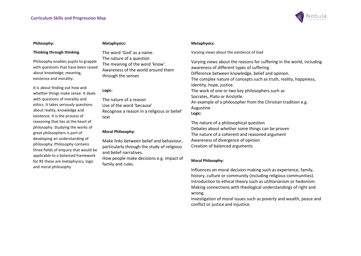

#### Philosophy:

#### Metaphysics:

#### Thinking through thinking.

Philosophy enables pupils to grapple with questions that have been raised about knowledge, meaning, existence and morality.

It is about finding out how and whether things make sense. It deals with questions of morality and ethics. It takes seriously questions about reality, knowledge and existence. It is the process of reasoning that lies at the heart of philosophy. Studying the works of great philosophers is part of developing an understanding of philosophy. Philosophy contains three fields of enquiry that would be applicable to a balanced framework for RE these are metaphysics, logic and moral philosophy

The word 'God' as a name. The nature of a question The meaning of the word 'know'. Awareness of the world around them through the senses

#### Logic:

The nature of a reason Use of the word 'because' Recognise a reason in a religious or belief text

#### Moral Philosophy:

Make links between belief and behaviour, particularly through the study of religious and belief narratives.

How people make decisions e.g. impact of family and rules.

#### Metaphysics:

Varying views about the existence of God

Varying views about the reasons for suffering in the world, including awareness of different types of suffering Difference between knowledge, belief and opinion. The complex nature of concepts such as truth, reality, happiness, identity, hope, justice. The work of one or two key philosophers such as Socrates, Plato or Aristotle. An example of a philosopher from the Christian tradition e.g. Augustine Logic:

The nature of a philosophical question Debates about whether some things can be proven The nature of a coherent and reasoned argument Awareness of divergence of opinion Creation of balanced arguments

#### Moral Philosophy:

Influences on moral decision making such as experience, family, history, culture or community (including religious communities). Introduction to ethical theory such as utilitarianism or hedonism. Making connections with theological understandings of right and wrong.

Investigation of moral issues such as poverty and wealth, peace and conflict or justice and injustice.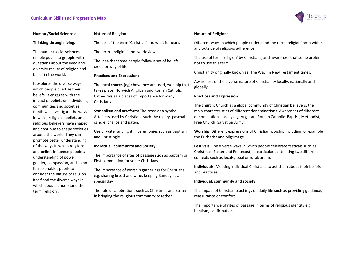

#### Human /Social Sciences:

#### Thinking through living.

The human/social sciences enable pupils to grapple with questions about the lived and diversity reality of religion and belief in the world.

It explores the diverse ways in which people practise their beliefs. It engages with the impact of beliefs on individuals, communities and societies. Pupils will investigate the ways in which religions, beliefs and religious believers have shaped and continue to shape societies around the world. They can promote better understanding of the ways in which religions and beliefs influence people's understanding of power, gender, compassion, and so on. It also enables pupils to consider the nature of religion itself and the diverse ways in which people understand the term 'religion'.

#### Nature of Religion:

The use of the term 'Christian' and what it means

The terms 'religion' and 'worldview'

The idea that some people follow a set of beliefs, creed or way of life.

#### Practices and Expression:

The local church (eg): how they are used, worship that takes place. Norwich Anglican and Roman Catholic Cathedrals as a places of importance for many Christians.

Symbolism and artefacts: The cross as a symbol. Artefacts used by Christians such the rosary, paschal candle, chalice and paten.

Use of water and light in ceremonies such as baptism and Christingle.

#### Individual, community and Society:

The importance of rites of passage such as baptism or First communion for some Christians.

The importance of worship gatherings for Christians e.g. sharing bread and wine, keeping Sunday as a special day

The role of celebrations such as Christmas and Easter in bringing the religious community together.

#### Nature of Religion:

Different ways in which people understand the term 'religion' both within and outside of religious adherence.

The use of term 'religion' by Christians, and awareness that some prefer not to use this term.

Christianity originally known as 'The Way' in New Testament times.

Awareness of the diverse nature of Christianity locally, nationally and globally.

#### Practices and Expression:

The church: Church as a global community of Christian believers, the main characteristics of different denominations. Awareness of different denominations locally e.g. Anglican, Roman Catholic, Baptist, Methodist, Free Church, Salvation Army…

Worship: Different expressions of Christian worship including for example the Eucharist and pilgrimage.

Festivals: The diverse ways in which people celebrate festivals such as Christmas, Easter and Pentecost; in particular contrasting two different contexts such as local/global or rural/urban.

Individuals: Meeting individual Christians to ask them about their beliefs and practices.

#### Individual, community and society:

The impact of Christian teachings on daily life such as providing guidance, reassurance or comfort.

The importance of rites of passage in terms of religious identity e.g. baptism, confirmation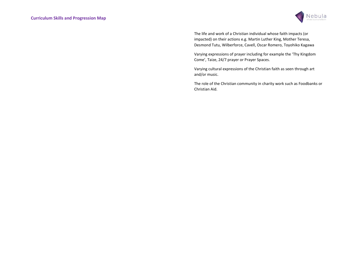

The life and work of a Christian individual whose faith impacts (or impacted) on their actions e.g. Martin Luther King, Mother Teresa, Desmond Tutu, Wilberforce, Cavell, Oscar Romero, Toyohiko Kagawa

Varying expressions of prayer including for example the 'Thy Kingdom Come', Taize, 24/7 prayer or Prayer Spaces.

Varying cultural expressions of the Christian faith as seen through art and/or music.

The role of the Christian community in charity work such as Foodbanks or Christian Aid.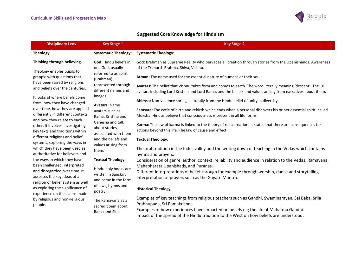

## Suggested Core Knowledge for Hinduism

| <b>Disciplinary Lens</b>                                                                                                                                               | <b>Key Stage 1</b>                                                                                  | <b>Key Stage 2</b>                                                                                                                                                                                                          |
|------------------------------------------------------------------------------------------------------------------------------------------------------------------------|-----------------------------------------------------------------------------------------------------|-----------------------------------------------------------------------------------------------------------------------------------------------------------------------------------------------------------------------------|
| Theology:                                                                                                                                                              | <b>Systematic Theology:</b>                                                                         | <b>Systematic Theology:</b>                                                                                                                                                                                                 |
| Thinking through believing.                                                                                                                                            | God: Hindu beliefs in<br>one God, usually                                                           | God: Brahman as Supreme Reality who pervades all creation through stories from the Upanishands. Awareness<br>of the Trimurti- Brahma, Shiva, Vishnu.                                                                        |
| Theology enables pupils to<br>grapple with questions that<br>have been raised by religions                                                                             | referred to as spirit<br>(Brahman)                                                                  | Atman: The name used for the essential nature of humans or their soul                                                                                                                                                       |
| and beliefs over the centuries.                                                                                                                                        | represented through<br>different names and                                                          | Avatars: The belief that Vishnu takes form and comes to earth. The word literally meaning 'descent'. The 10<br>avatars including Lord Krishna and Lord Rama, and the beliefs and values arising from narratives about them. |
| It looks at where beliefs come<br>from, how they have changed                                                                                                          | images.<br><b>Avatars: Name</b>                                                                     | Ahimsa: Non-violence springs naturally from the Hindu belief of unity in diversity.                                                                                                                                         |
| over time, how they are applied<br>differently in different contexts                                                                                                   | avatars such as<br>Rama, Krishna and                                                                | Samsara: The cycle of birth and rebirth which ends when a personal discovers his or her essential spirit, called<br>Moksha. Hindus believe that consciousness is present in all life forms.                                 |
| and how they relate to each<br>other. It involves investigating<br>key texts and traditions within                                                                     | Ganesha and talk<br>about stories<br>associated with them                                           | Karma: The law of karma is linked to the theory of reincarnation. It states that there are consequences for<br>actions beyond this life. The law of cause and effect.                                                       |
| different religions and belief<br>systems, exploring the ways in                                                                                                       | and the beliefs and                                                                                 | <b>Textual Theology:</b>                                                                                                                                                                                                    |
| which they have been used as<br>authoritative for believers and                                                                                                        | values arising from<br>them.                                                                        | The oral tradition in the Indus valley and the writing down of teaching in the Vedas which contains<br>hymns and prayers.                                                                                                   |
| the ways in which they have<br>been challenged, interpreted                                                                                                            | <b>Textual Theology:</b>                                                                            | Consideration of genre, author, context, reliability and audience in relation to the Vedas, Ramayana,<br>Mahabharata Upanishads, and Puranas.                                                                               |
| and disregarded over time. It<br>assesses the key ideas of a<br>religion or belief system as well<br>as exploring the significance of<br>experience on the claims made | Hindu holy books are<br>written in Sanskrit<br>and come in the form<br>of laws, hymns and<br>poetry | Different interpretations of belief through for example through worship, dance and storytelling.<br>Interpretation of prayers such as the Gayatri Mantra.                                                                   |
|                                                                                                                                                                        |                                                                                                     | <b>Historical Theology:</b>                                                                                                                                                                                                 |
| by religious and non-religious<br>people.                                                                                                                              | The Ramayana as a<br>sacred poem about                                                              | Examples of key teachings from religious teachers such as Gandhi, Swaminarayan, Sai Baba, Srila<br>Prabhupada, Sri Ramakrishna                                                                                              |
|                                                                                                                                                                        | Rama and Sita.                                                                                      | Examples of how experiences have impacted on beliefs e.g the life of Mahatma Gandhi.<br>Impact of the spread of the Hindu tradition to the West on how beliefs are understood.                                              |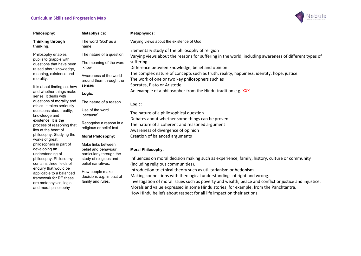applicable to a balanced framework for RE these are metaphysics, logic and moral philosophy



| <b>Philosophy:</b>                                      | <b>Metaphysics:</b>                          | <b>Metaphysics:</b>                                                                                   |
|---------------------------------------------------------|----------------------------------------------|-------------------------------------------------------------------------------------------------------|
| <b>Thinking through</b>                                 | The word 'God' as a                          | Varying views about the existence of God                                                              |
| thinking.                                               | name.                                        | Elementary study of the philosophy of religion                                                        |
| Philosophy enables                                      | The nature of a question                     | Varying views about the reasons for suffering in the world, including awareness of different types of |
| pupils to grapple with<br>questions that have been      | The meaning of the word                      | suffering                                                                                             |
| raised about knowledge,                                 | 'know'.                                      | Difference between knowledge, belief and opinion.                                                     |
| meaning, existence and                                  | Awareness of the world                       | The complex nature of concepts such as truth, reality, happiness, identity, hope, justice.            |
| morality.                                               | around them through the                      | The work of one or two key philosophers such as                                                       |
| It is about finding out how                             | senses                                       | Socrates, Plato or Aristotle.                                                                         |
| and whether things make<br>sense. It deals with         | Logic:                                       | An example of a philosopher from the Hindu tradition e.g. XXX                                         |
| questions of morality and<br>ethics. It takes seriously | The nature of a reason                       | Logic:                                                                                                |
| questions about reality,                                | Use of the word                              | The nature of a philosophical question                                                                |
| knowledge and<br>existence. It is the                   | 'because'                                    | Debates about whether some things can be proven                                                       |
| process of reasoning that                               | Recognise a reason in a                      | The nature of a coherent and reasoned argument                                                        |
| lies at the heart of                                    | religious or belief text                     | Awareness of divergence of opinion                                                                    |
| philosophy. Studying the<br>works of great              | <b>Moral Philosophy:</b>                     | Creation of balanced arguments                                                                        |
| philosophers is part of                                 | Make links between                           |                                                                                                       |
| developing an                                           | belief and behaviour,                        | <b>Moral Philosophy:</b>                                                                              |
| understanding of                                        | particularly through the                     | Influences on moral decision making such as experience, family, history, culture or community         |
| philosophy. Philosophy<br>contains three fields of      | study of religious and<br>belief narratives. | (including religious communities).                                                                    |
| enquiry that would be                                   |                                              | Introduction to athical theory such as utilitarianism or hadonism                                     |

How people make decisions e.g. impact of family and rules.

Introduction to ethical theory such as utilitarianism or hedonism.

Making connections with theological understandings of right and wrong.

Investigation of moral issues such as poverty and wealth, peace and conflict or justice and injustice. Morals and value expressed in some Hindu stories, for example, from the Panchtantra.

How Hindu beliefs about respect for all life impact on their actions.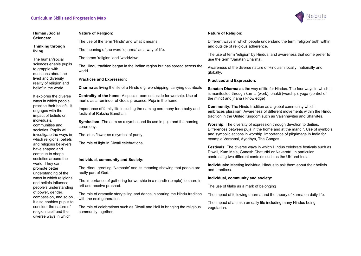

| Human /Social                                                                                                                                                                                             | <b>Nature of Religion:</b>                                                                                                               | <b>Nature of Relig</b>                                     |  |
|-----------------------------------------------------------------------------------------------------------------------------------------------------------------------------------------------------------|------------------------------------------------------------------------------------------------------------------------------------------|------------------------------------------------------------|--|
| Sciences:                                                                                                                                                                                                 | The use of the term 'Hindu' and what it means.                                                                                           | Different ways i                                           |  |
| Thinking through<br>living.                                                                                                                                                                               | The meaning of the word 'dharma' as a way of life.                                                                                       | and outside of r                                           |  |
| The human/social                                                                                                                                                                                          | The terms 'religion' and 'worldview'                                                                                                     | The use of term<br>use the term 'S                         |  |
| sciences enable pupils<br>to grapple with<br>questions about the                                                                                                                                          | The Hindu tradition began in the Indian region but has spread across the<br>world.                                                       | Awareness of tl<br>globally.                               |  |
| lived and diversity<br>reality of religion and                                                                                                                                                            | <b>Practices and Expression:</b>                                                                                                         | <b>Practices and</b>                                       |  |
| belief in the world.                                                                                                                                                                                      | <b>Dharma</b> as living the life of a Hindu e.g. worshipping, carrying out rituals                                                       | <b>Sanatan Dharr</b>                                       |  |
| It explores the diverse<br>ways in which people                                                                                                                                                           | <b>Centrality of the home:</b> A special room set aside for worship. Use of<br>murtis as a reminder of God's presence. Puja in the home. | is manifested th<br>the mind) and ji                       |  |
| practise their beliefs. It<br>engages with the<br>impact of beliefs on                                                                                                                                    | Importance of family life including the naming ceremony for a baby and<br>festival of Raksha Bandhan.                                    | Community: T<br>embraces plura<br>tradition in the I       |  |
| individuals,<br>communities and<br>societies. Pupils will                                                                                                                                                 | Symbolism: The aum as a symbol and its use in puja and the naming<br>ceremony,                                                           | Worship: The<br>Differences bet                            |  |
| investigate the ways in                                                                                                                                                                                   | The lotus flower as a symbol of purity.                                                                                                  | and symbolic a<br>example Varan                            |  |
| which religions, beliefs<br>and religious believers<br>have shaped and<br>continue to shape<br>societies around the                                                                                       | The role of light in Diwali celebrations.                                                                                                | <b>Festivals: The</b><br>Diwali, Kum Me<br>contrasting two |  |
| world. They can                                                                                                                                                                                           | Individual, community and Society:                                                                                                       | Individuals: M                                             |  |
| promote better<br>understanding of the                                                                                                                                                                    | The Hindu greeting 'Namaste' and its meaning showing that people are<br>really part of God.                                              | and practices.                                             |  |
| ways in which religions                                                                                                                                                                                   | The importance of gathering for worship in a mandir (temple) to share in                                                                 | Individual, cor                                            |  |
| and beliefs influence<br>people's understanding<br>of power, gender,<br>compassion, and so on.<br>It also enables pupils to<br>consider the nature of<br>religion itself and the<br>diverse ways in which | arti and receive prashad.                                                                                                                | The use of tilak                                           |  |
|                                                                                                                                                                                                           | The role of dramatic storytelling and dance in sharing the Hindu tradition                                                               | The impact of fo                                           |  |
|                                                                                                                                                                                                           | with the next generation.<br>The role of celebrations such as Diwali and Holi in bringing the religious<br>community together.           | The impact of a<br>vegetarian.                             |  |

#### aion:

in which people understand the term 'religion' both within religious adherence.

n 'religion' by Hindus, and awareness that some prefer to Sanatan Dharma'.

the diverse nature of Hinduism locally, nationally and

#### Expression:

ma as the way of life for Hindus. The four ways in which it hrough karma (work), bhakti (worship), yoga (control of inana ( knowledge)

The Hindu tradition as a global community which alism. Awareness of different movements within the Hindu United Kingdom such as Vaishnavites and Shaivites.

diversity of expression through devotion to deities. ween puja in the home and at the mandir. Use of symbols actions in worship. Importance of pilgrimage in India for asi, Ayodhya, The Ganges,

diverse ways in which Hindus celebrate festivals such as ela, Ganesh Chaturthi or Navaratri. In particular different contexts such as the UK and India.

leeting individual Hindus to ask them about their beliefs

#### mmunity and society:

 $\overline{\text{cs}}$  as a mark of belonging

following dharma and the theory of karma on daily life.

ahimsa on daily life including many Hindus being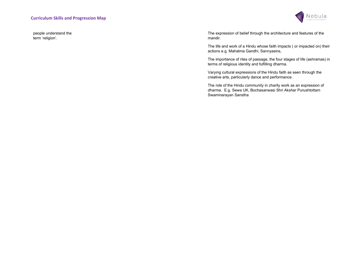people understand the term 'religion'.



The expression of belief through the architecture and features of the mandir.

The life and work of a Hindu whose faith impacts ( or impacted on) their actions e.g. Mahatma Gandhi, Sannyasins,

The importance of rites of passage, the four stages of life (ashramas) in terms of religious identity and fulfilling dharma.

Varying cultural expressions of the Hindu faith as seen through the creative arts, particularly dance and performance.

The role of the Hindu community in charity work as an expression of dharma. E.g. Sewa UK, Bochasanwasi Shri Akshar Purushtottam Swaminarayan Sanstha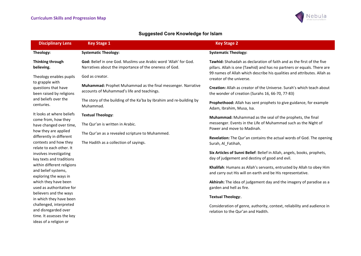

# Suggested Core Knowledge for Islam

| <b>Disciplinary Lens</b>                                                                               | <b>Key Stage 1</b>                                                                                                                | <b>Key Stage 2</b>                                                                                                                                      |
|--------------------------------------------------------------------------------------------------------|-----------------------------------------------------------------------------------------------------------------------------------|---------------------------------------------------------------------------------------------------------------------------------------------------------|
| Theology:                                                                                              | <b>Systematic Theology:</b>                                                                                                       | <b>Systematic Theology:</b>                                                                                                                             |
| Thinking through<br>believing.                                                                         | <b>God:</b> Belief in one God. Muslims use Arabic word 'Allah' for God.<br>Narratives about the importance of the oneness of God. | <b>Tawhid:</b> Shahadah as declaration of faith and as the first of the five<br>pillars. Allah is one (Tawhid) and has no partners or equals. There are |
| Theology enables pupils<br>to grapple with                                                             | God as creator.                                                                                                                   | 99 names of Allah which describe his qualities and attributes. Allah as<br>creator of the universe.                                                     |
| questions that have<br>been raised by religions                                                        | Muhammad: Prophet Muhammad as the final messenger. Narrative<br>accounts of Muhammad's life and teachings.                        | Creation: Allah as creator of the Universe. Surah's which teach about<br>the wonder of creation (Surahs 16, 66-70, 77-83)                               |
| and beliefs over the<br>centuries.                                                                     | The story of the building of the Ka'ba by Ibrahim and re-building by<br>Muhammad.                                                 | Prophethood: Allah has sent prophets to give guidance, for example<br>Adam, Ibrahim, Musa, Isa.                                                         |
| It looks at where beliefs<br>come from, how they                                                       | <b>Textual Theology:</b>                                                                                                          | Muhammad: Muhammad as the seal of the prophets, the final                                                                                               |
| have changed over time,                                                                                | The Qur'an is written in Arabic.<br>The Qur'an as a revealed scripture to Muhammed.<br>The Hadith as a collection of sayings.     | messenger. Events in the Life of Muhammad such as the Night of<br>Power and move to Madinah.                                                            |
| how they are applied<br>differently in different                                                       |                                                                                                                                   | Revelation: The Qur'an contains the actual words of God. The opening                                                                                    |
| contexts and how they<br>relate to each other. It                                                      |                                                                                                                                   | Surah, Al Fatihah,                                                                                                                                      |
| involves investigating<br>key texts and traditions                                                     |                                                                                                                                   | Six Articles of Sunni Belief: Belief in Allah, angels, books, prophets,<br>day of judgement and destiny of good and evil.                               |
| within different religions<br>and belief systems,<br>exploring the ways in                             |                                                                                                                                   | Khalifah: Humans as Allah's servants, entrusted by Allah to obey Him<br>and carry out His will on earth and be His representative.                      |
| which they have been<br>used as authoritative for<br>believers and the ways<br>in which they have been |                                                                                                                                   | Akhirah: The idea of judgement day and the imagery of paradise as a<br>garden and hell as fire.                                                         |
|                                                                                                        |                                                                                                                                   | Textual Theology:.                                                                                                                                      |
| challenged, interpreted<br>and disregarded over<br>time. It assesses the key<br>ideas of a religion or |                                                                                                                                   | Consideration of genre, authority, context, reliability and audience in<br>relation to the Qur'an and Hadith.                                           |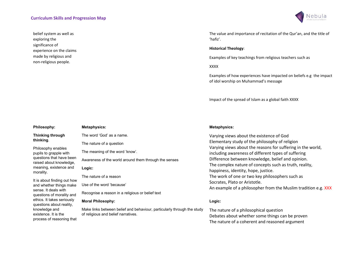belief system as well as exploring the significance of experience on the claims made by religious and non-religious people.

process of reasoning that



The value and importance of recitation of the Qur'an, and the title of 'hafiz'.

#### Historical Theology:

Examples of key teachings from religious teachers such as

XXXX

Examples of how experiences have impacted on beliefs e.g the impact of idol worship on Muhammad's message

Impact of the spread of Islam as a global faith XXXX

| Philosophy:                                            | <b>Metaphysics:</b>                                                                                            | <b>Metaphysics:</b>                        |
|--------------------------------------------------------|----------------------------------------------------------------------------------------------------------------|--------------------------------------------|
| <b>Thinking through</b>                                | The word 'God' as a name.                                                                                      | Varying views abou                         |
| thinking.                                              | The nature of a question                                                                                       | Elementary study o                         |
| Philosophy enables<br>pupils to grapple with           | The meaning of the word 'know'.                                                                                | Varying views abou<br>including awarenes   |
| questions that have been<br>raised about knowledge,    | Awareness of the world around them through the senses                                                          | Difference betweer                         |
| meaning, existence and<br>morality.                    | Logic:                                                                                                         | The complex nature<br>happiness, identity, |
|                                                        | The nature of a reason                                                                                         | The work of one or                         |
| It is about finding out how<br>and whether things make | Use of the word 'because'                                                                                      | Socrates, Plato or A<br>An example of a ph |
| sense. It deals with<br>questions of morality and      | Recognise a reason in a religious or belief text                                                               |                                            |
| ethics. It takes seriously<br>questions about reality, | <b>Moral Philosophy:</b>                                                                                       | Logic:                                     |
| knowledge and<br>existence. It is the                  | Make links between belief and behaviour, particularly through the study<br>of religious and belief narratives. | The nature of a phil<br>Dobotos obout who  |

ut the existence of God of the philosophy of religion ut the reasons for suffering in the world, ss of different types of suffering n knowledge, belief and opinion. e of concepts such as truth, reality, hope, justice. two key philosophers such as \ristotle. hilosopher from the Muslim tradition e.g. XXX

Iosophical question Debates about whether some things can be proven The nature of a coherent and reasoned argument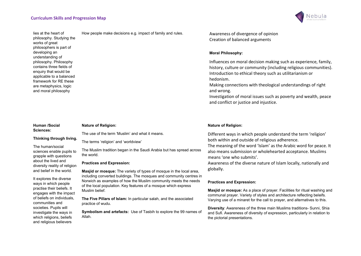

lies at the heart of philosophy. Studying the works of great philosophers is part of developing an understanding of philosophy. Philosophy contains three fields of enquiry that would be applicable to a balanced framework for RE these are metaphysics, logic and moral philosophy

#### Human /Social Sciences:

The human/social sciences enable pupils to grapple with questions about the lived and diversity reality of religion and belief in the world. It explores the diverse ways in which people practise their beliefs. It engages with the impact of beliefs on individuals, communities and societies. Pupils will investigate the ways in which religions, beliefs and religious believers

Thinking through living.

### Nature of Religion:

The use of the term 'Muslim' and what it means.

The terms 'religion' and 'worldview'

The Muslim tradition began in the Saudi Arabia but has spread across the world.

#### Practices and Expression:

Masjid or mosque: The variety of types of mosque in the local area, including converted buildings. The mosques and community centres in Norwich as examples of how the Muslim community meets the needs of the local population. Key features of a mosque which express Muslim belief.

The Five Pillars of Islam: In particular salah, and the associated practice of wudu.

Symbolism and artefacts: Use of Tasbih to explore the 99 names of Allah.

How people make decisions e.g. impact of family and rules. Awareness of divergence of opinion Creation of balanced arguments

#### Moral Philosophy:

Influences on moral decision making such as experience, family, history, culture or community (including religious communities). Introduction to ethical theory such as utilitarianism or hedonism.

Making connections with theological understandings of right and wrong.

Investigation of moral issues such as poverty and wealth, peace and conflict or justice and injustice.

#### Nature of Religion:

Different ways in which people understand the term 'religion' both within and outside of religious adherence.

The meaning of the word 'Islam' as the Arabic word for peace. It also means submission or wholehearted acceptance. Muslims means 'one who submits'.

Awareness of the diverse nature of Islam locally, nationally and globally.

#### Practices and Expression:

Masjid or mosque: As a place of prayer. Facilities for ritual washing and communal prayer. Variety of styles and architecture reflecting beleifs. Varying use of a minaret for the call to prayer, and alternatives to this.

Diversity: Awareness of the three main Muslims traditions- Sunni, Shia and Sufi. Awareness of diversity of expression, particularly in relation to the pictorial presentations.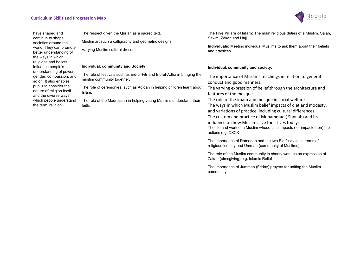

have shaped and continue to shape societies around the world. They can promote better understanding of the ways in which religions and beliefs influence people's understanding of power, gender, compassion, and so on. It also enables pupils to consider the nature of religion itself and the diverse ways in which people understand the term 'religion'.

The respect given the Qur'an as a sacred text. Muslim art such a calligraphy and geometric designs

Varying Muslim cultural dress.

#### Individual, community and Society:

The role of festivals such as Eid-ul-Fitr and Eid-ul-Adha in bringing the muslim community together.

The role of ceremonies, such as Aqiqah in helping children learn about Islam.

The role of the Madrassah in helping young Muslims understand their faith.

The Five Pillars of Islam: The main religious duties of a Muslim. Salah, Sawm, Zakah and Hajj.

Individuals: Meeting individual Muslims to ask them about their beliefs and practices.

#### Individual, community and society:

The importance of Muslims teachings in relation to general conduct and good manners.

The varying expression of belief through the architecture and features of the mosque.

The role of the imam and mosque in social welfare. The ways in which Muslim belief impacts of diet and modesty, and variations of practice, including cultural differences. The custom and practice of Muhammad ( Sunnah) and its influence on how Muslims live their lives today. The life and work of a Muslim whose faith impacts ( or impacted on) their actions e.g. XXXX

The importance of Ramadan and the two Eid festivals in terms of religious identity and Ummah (community of Muslims).

The role of the Muslim community in charity work as an expression of Zakah (almsgiving) e.g. Islamic Relief

The importance of Jummah (Friday) prayers for uniting the Muslim community.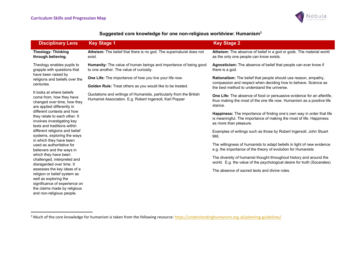

|  | Suggested core knowledge for one non-religious worldview: Humanism <sup>3</sup> |
|--|---------------------------------------------------------------------------------|
|  |                                                                                 |

| <b>Disciplinary Lens</b>                                                                                                                                                           | <b>Key Stage 1</b>                                                                                                                                                                                                                                                                                                                                                                                                                                                                                                                                                                                       | <b>Key Stage 2</b>                                                                                                                              |
|------------------------------------------------------------------------------------------------------------------------------------------------------------------------------------|----------------------------------------------------------------------------------------------------------------------------------------------------------------------------------------------------------------------------------------------------------------------------------------------------------------------------------------------------------------------------------------------------------------------------------------------------------------------------------------------------------------------------------------------------------------------------------------------------------|-------------------------------------------------------------------------------------------------------------------------------------------------|
| <b>Theology: Thinking</b><br>through believing.                                                                                                                                    | Atheism: The belief that there is no god. The supernatural does not<br>exist.                                                                                                                                                                                                                                                                                                                                                                                                                                                                                                                            | Atheism: The absence of belief in a god or gods. The material world<br>as the only one people can know exists.                                  |
| Theology enables pupils to<br>grapple with questions that                                                                                                                          | <b>Humanity:</b> The value of human beings and importance of being good<br>to one another. The value of curiosity.<br>there is a god.<br>have been raised by<br>One Life: The importance of how you live your life now.<br><b>Golden Rule:</b> Treat others as you would like to be treated.<br>the best method to understand the universe.<br>Quotations and writings of Humanists, particularly from the British<br>Humanist Association. E.g. Robert Ingersoll, Karl Popper<br>stance.<br>as more than pleasure.<br>Mill,<br>in which they have been<br>The absence of sacred texts and divine rules. | Agnosticism: The absence of belief that people can ever know if                                                                                 |
| religions and beliefs over the                                                                                                                                                     |                                                                                                                                                                                                                                                                                                                                                                                                                                                                                                                                                                                                          | Rationalism: The belief that people should use reason, empathy,                                                                                 |
| centuries.                                                                                                                                                                         |                                                                                                                                                                                                                                                                                                                                                                                                                                                                                                                                                                                                          | compassion and respect when deciding how to behave. Science as                                                                                  |
| It looks at where beliefs<br>come from, how they have<br>changed over time, how they<br>are applied differently in                                                                 |                                                                                                                                                                                                                                                                                                                                                                                                                                                                                                                                                                                                          | One Life: The absence of food or persuasive evidence for an afterlife,<br>thus making the most of the one life now. Humanism as a positive life |
| different contexts and how<br>they relate to each other. It<br>involves investigating key<br>texts and traditions within                                                           |                                                                                                                                                                                                                                                                                                                                                                                                                                                                                                                                                                                                          | Happiness: The importance of finding one's own way in order that life<br>is meaningful. The importance of making the most of life. Happiness    |
| different religions and belief<br>systems, exploring the ways                                                                                                                      |                                                                                                                                                                                                                                                                                                                                                                                                                                                                                                                                                                                                          | Examples of writings such as those by Robert Ingersoll, John Stuart                                                                             |
| used as authoritative for<br>believers and the ways in                                                                                                                             |                                                                                                                                                                                                                                                                                                                                                                                                                                                                                                                                                                                                          | The willingness of humanists to adapt beliefs in light of new evidence<br>e.g. the importance of the theory of evolution for Humanists          |
| which they have been<br>challenged, interpreted and<br>disregarded over time. It                                                                                                   |                                                                                                                                                                                                                                                                                                                                                                                                                                                                                                                                                                                                          | The diversity of humanist thought throughout history and around the<br>world. E.g. the value of the psychological desire for truth (Socarates)  |
| assesses the key ideas of a<br>religion or belief system as<br>well as exploring the<br>significance of experience on<br>the claims made by religious<br>and non-religious people. |                                                                                                                                                                                                                                                                                                                                                                                                                                                                                                                                                                                                          |                                                                                                                                                 |

<sup>&</sup>lt;sup>3</sup> Much of the core knowledge for humanism is taken from the following resource: https://understandinghumanism.org.uk/planning-guidelines/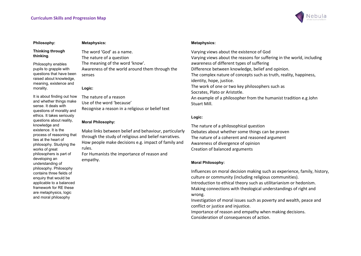

#### Philosophy:

#### Thinking through thinking.

Philosophy enables pupils to grapple with questions that have been raised about knowledge, meaning, existence and morality.

It is about finding out how and whether things make sense. It deals with questions of morality and ethics. It takes seriously questions about reality, knowledge and existence. It is the process of reasoning that lies at the heart of philosophy. Studying the works of great philosophers is part of developing an understanding of philosophy. Philosophy contains three fields of enquiry that would be applicable to a balanced framework for RE these are metaphysics, logic and moral philosophy

#### Metaphysics:

The word 'God' as a name. The nature of a question The meaning of the word 'know'. Awareness of the world around them through the senses

#### Logic:

The nature of a reason Use of the word 'because' Recognise a reason in a religious or belief text

#### Moral Philosophy:

Make links between belief and behaviour, particularly through the study of religious and belief narratives. How people make decisions e.g. impact of family and rules.

For Humanists the importance of reason and empathy.

#### Metaphysics:

Varying views about the existence of God Varying views about the reasons for suffering in the world, including awareness of different types of suffering Difference between knowledge, belief and opinion. The complex nature of concepts such as truth, reality, happiness, identity, hope, justice. The work of one or two key philosophers such as Socrates, Plato or Aristotle. An example of a philosopher from the humanist tradition e.g John Stuart Mill.

#### Logic:

The nature of a philosophical question Debates about whether some things can be proven The nature of a coherent and reasoned argument Awareness of divergence of opinion Creation of balanced arguments

#### Moral Philosophy:

Influences on moral decision making such as experience, family, history, culture or community (including religious communities). Introduction to ethical theory such as utilitarianism or hedonism. Making connections with theological understandings of right and wrong.

Investigation of moral issues such as poverty and wealth, peace and conflict or justice and injustice.

Importance of reason and empathy when making decisions. Consideration of consequences of action.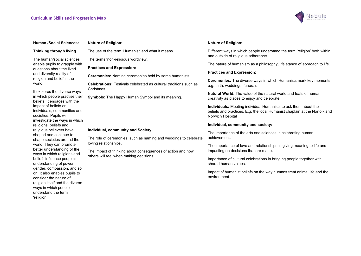

#### Human /Social Sciences:

#### Thinking through living.

The human/social sciences enable pupils to grapple with questions about the lived and diversity reality of religion and belief in the world.

It explores the diverse ways in which people practise their beliefs. It engages with the impact of beliefs on individuals, communities and societies. Pupils will investigate the ways in which religions, beliefs and religious believers have shaped and continue to shape societies around the world. They can promote better understanding of the ways in which religions and beliefs influence people's understanding of power, gender, compassion, and so on. It also enables pupils to consider the nature of religion itself and the diverse ways in which people understand the term 'religion'.

#### Nature of Religion:

The use of the term 'Humanist' and what it means.

The terms 'non-religious wordview'.

#### Practices and Expression:

Ceremonies: Naming ceremonies held by some humanists.

Celebrations: Festivals celebrated as cultural traditions such as Christmas.

Symbols: The Happy Human Symbol and its meaning.

#### Individual, community and Society:

The role of ceremonies, such as naming and weddings to celebrate loving relationships.

The impact of thinking about consequences of action and how others will feel when making decisions.

#### Nature of Religion:

Different ways in which people understand the term 'religion' both within and outside of religious adherence.

The nature of humanism as a philosophy, life stance of approach to life.

#### Practices and Expression:

Ceremonies: The diverse ways in which Humanists mark key moments e.g. birth, weddings, funerals

Natural World: The value of the natural world and feats of human creativity as places to enjoy and celebrate.

Individuals: Meeting individual Humanists to ask them about their beliefs and practices. E.g. the local Humanist chaplain at the Norfolk and Norwich Hospital

#### Individual, community and society:

The importance of the arts and sciences in celebrating human achievement.

The importance of love and relationships in giving meaning to life and impacting on decisions that are made.

Importance of cultural celebrations in bringing people together with shared human values.

Impact of humanist beliefs on the way humans treat animal life and the environment.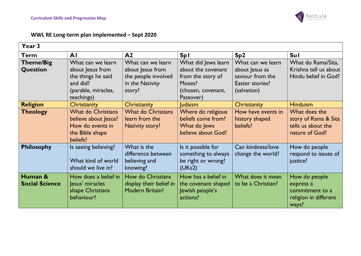

# WWL RE Long-term plan implemented – Sept 2020

| Year 3                           |                                                                                                              |                                                                                           |                                                                                                             |                                                                                           |                                                                                 |
|----------------------------------|--------------------------------------------------------------------------------------------------------------|-------------------------------------------------------------------------------------------|-------------------------------------------------------------------------------------------------------------|-------------------------------------------------------------------------------------------|---------------------------------------------------------------------------------|
| <b>Term</b>                      | AI                                                                                                           | A <sub>2</sub>                                                                            | <b>Spl</b>                                                                                                  | Sp <sub>2</sub>                                                                           | <b>Sul</b>                                                                      |
| Theme/Big<br>Question            | What can we learn<br>about Jesus from<br>the things he said<br>and did?<br>(parable, miracles,<br>teachings) | What can we learn<br>about Jesus from<br>the people involved<br>in the Nativity<br>story? | What did Jews learn<br>about the covenant<br>from the story of<br>Moses?<br>(chosen, covenant,<br>Passover) | What can we learn<br>about Jesus as<br>saviour from the<br>Easter stories?<br>(salvation) | What do Rama/Sita,<br>Krishna tell us about<br>Hindu belief in God?             |
| <b>Religion</b>                  | Christianity                                                                                                 | Christianity                                                                              | <b>Judaism</b>                                                                                              | <b>Christianity</b>                                                                       | <b>Hinduism</b>                                                                 |
| <b>Theology</b>                  | <b>What do Christians</b><br>believe about Jesus?<br>How do events in<br>the Bible shape<br>beliefs?         | <b>What do Christians</b><br>learn from the<br>Nativity story?                            | Where do religious<br>beliefs come from?<br>What do Jews<br>believe about God?                              | How have events in<br>history shaped<br>beliefs?                                          | What does the<br>story of Rama & Sita<br>tells us about the<br>nature of God?   |
| <b>Philosophy</b>                | Is seeing believing?<br>What kind of world<br>should we live in?                                             | What is the<br>difference between<br>believing and<br>knowing?                            | Is it possible for<br>something to always<br>be right or wrong?<br>(UKs2)                                   | Can kindness/love<br>change the world?                                                    | How do people<br>respond to issues of<br>justice?                               |
| Human &<br><b>Social Science</b> | How does a belief in<br>Jesus' miracles<br>shape Christians<br>behaviour?                                    | How do Christians<br>display their belief in<br><b>Modern Britain?</b>                    | How has a belief in<br>the covenant shaped<br>Jewish people's<br>actions?                                   | What does it mean<br>to be a Christian?                                                   | How do people<br>express a<br>commitment to a<br>religion in different<br>ways? |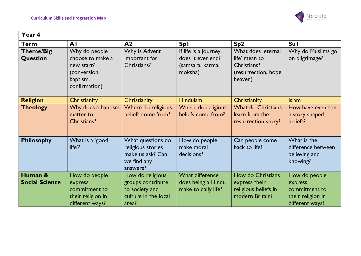

| Year 4                              |                                                                                              |                                                                                          |                                                                           |                                                                                       |                                                                                   |  |
|-------------------------------------|----------------------------------------------------------------------------------------------|------------------------------------------------------------------------------------------|---------------------------------------------------------------------------|---------------------------------------------------------------------------------------|-----------------------------------------------------------------------------------|--|
| <b>Term</b>                         | AI                                                                                           | A <sub>2</sub>                                                                           | <b>Spl</b>                                                                | Sp <sub>2</sub>                                                                       | <b>Sul</b>                                                                        |  |
| <b>Theme/Big</b><br><b>Question</b> | Why do people<br>choose to make a<br>new start?<br>(conversion,<br>baptism,<br>confirmation) | Why is Advent<br>important for<br>Christians?                                            | If life is a journey,<br>does it ever end?<br>(samsara, karma,<br>moksha) | What does 'eternal<br>life' mean to<br>Christians?<br>(resurrection, hope,<br>heaven) | Why do Muslims go<br>on pilgrimage?                                               |  |
| <b>Religion</b>                     | Christianity                                                                                 | Christianity                                                                             | <b>Hinduism</b>                                                           | Christianity                                                                          | <b>Islam</b>                                                                      |  |
| <b>Theology</b>                     | Why does a baptism<br>matter to<br>Christians?                                               | Where do religious<br>beliefs come from?                                                 | Where do religious<br>beliefs come from?                                  | <b>What do Christians</b><br>learn from the<br>resurrection story?                    | How have events in<br>history shaped<br>beliefs?                                  |  |
| <b>Philosophy</b>                   | What is a 'good<br>life'?                                                                    | What questions do<br>religious stories<br>make us ask? Can<br>we find any<br>answers?    | How do people<br>make moral<br>decisions?                                 | Can people come<br>back to life?                                                      | What is the<br>difference between<br>believing and<br>knowing?                    |  |
| Human &<br><b>Social Science</b>    | How do people<br>express<br>commitment to<br>their religion in<br>different ways?            | How do religious<br>groups contribute<br>to society and<br>culture in the local<br>area? | <b>What difference</b><br>does being a Hindu<br>make to daily life?       | How do Christians<br>express their<br>religious beliefs in<br>modern Britain?         | How do people<br>express<br>commitment to<br>their religion in<br>different ways? |  |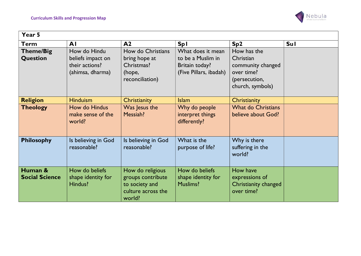

| Year 5                           |                                                                         |                                                                                         |                                                                                    |                                                                                                  |            |
|----------------------------------|-------------------------------------------------------------------------|-----------------------------------------------------------------------------------------|------------------------------------------------------------------------------------|--------------------------------------------------------------------------------------------------|------------|
| Term                             | AI                                                                      | A <sub>2</sub>                                                                          | <b>Spl</b>                                                                         | Sp <sub>2</sub>                                                                                  | <b>Sul</b> |
| <b>Theme/Big</b><br>Question     | How do Hindu<br>beliefs impact on<br>their actions?<br>(ahimsa, dharma) | How do Christians<br>bring hope at<br>Christmas?<br>(hope,<br>reconciliation)           | What does it mean<br>to be a Muslim in<br>Britain today?<br>(Five Pillars, ibadah) | How has the<br>Christian<br>community changed<br>over time?<br>(persecution,<br>church, symbols) |            |
| <b>Religion</b>                  | <b>Hinduism</b>                                                         | Christianity                                                                            | <b>Islam</b>                                                                       | Christianity                                                                                     |            |
| <b>Theology</b>                  | How do Hindus<br>make sense of the<br>world?                            | Was Jesus the<br>Messiah?                                                               | Why do people<br>interpret things<br>differently?                                  | <b>What do Christians</b><br>believe about God?                                                  |            |
| <b>Philosophy</b>                | Is believing in God<br>reasonable?                                      | Is believing in God<br>reasonable?                                                      | What is the<br>purpose of life?                                                    | Why is there<br>suffering in the<br>world?                                                       |            |
| Human &<br><b>Social Science</b> | How do beliefs<br>shape identity for<br>Hindus?                         | How do religious<br>groups contribute<br>to society and<br>culture across the<br>world? | How do beliefs<br>shape identity for<br><b>Muslims?</b>                            | How have<br>expressions of<br>Christianity changed<br>over time?                                 |            |